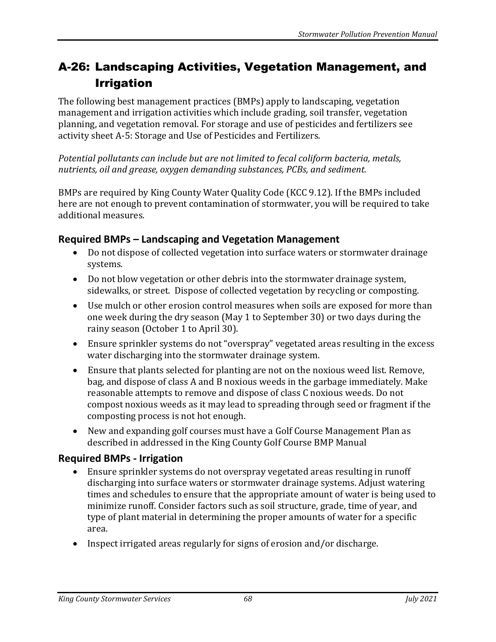# A-26: Landscaping Activities, Vegetation Management, and Irrigation

The following best management practices (BMPs) apply to landscaping, vegetation management and irrigation activities which include grading, soil transfer, vegetation planning, and vegetation removal. For storage and use of pesticides and fertilizers see activity sheet A-5: Storage and Use of Pesticides and Fertilizers.

*Potential pollutants can include but are not limited to fecal coliform bacteria, metals, nutrients, oil and grease, oxygen demanding substances, PCBs, and sediment.*

BMPs are required by King County Water Quality Code (KCC 9.12). If the BMPs included here are not enough to prevent contamination of stormwater, you will be required to take additional measures.

## **Required BMPs – Landscaping and Vegetation Management**

- Do not dispose of collected vegetation into surface waters or stormwater drainage systems.
- Do not blow vegetation or other debris into the stormwater drainage system, sidewalks, or street. Dispose of collected vegetation by recycling or composting.
- Use mulch or other erosion control measures when soils are exposed for more than one week during the dry season (May 1 to September 30) or two days during the rainy season (October 1 to April 30).
- Ensure sprinkler systems do not "overspray" vegetated areas resulting in the excess water discharging into the stormwater drainage system.
- Ensure that plants selected for planting are not on the noxious weed list. Remove, bag, and dispose of class A and B noxious weeds in the garbage immediately. Make reasonable attempts to remove and dispose of class C noxious weeds. Do not compost noxious weeds as it may lead to spreading through seed or fragment if the composting process is not hot enough.
- New and expanding golf courses must have a Golf Course Management Plan as described in addressed in the King County Golf Course BMP Manual

### **Required BMPs - Irrigation**

- Ensure sprinkler systems do not overspray vegetated areas resulting in runoff discharging into surface waters or stormwater drainage systems. Adjust watering times and schedules to ensure that the appropriate amount of water is being used to minimize runoff. Consider factors such as soil structure, grade, time of year, and type of plant material in determining the proper amounts of water for a specific area.
- Inspect irrigated areas regularly for signs of erosion and/or discharge.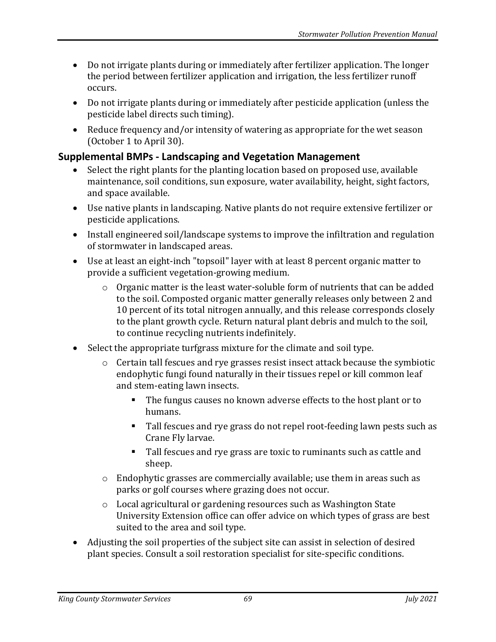- Do not irrigate plants during or immediately after fertilizer application. The longer the period between fertilizer application and irrigation, the less fertilizer runoff occurs.
- Do not irrigate plants during or immediately after pesticide application (unless the pesticide label directs such timing).
- Reduce frequency and/or intensity of watering as appropriate for the wet season (October 1 to April 30).

#### **Supplemental BMPs - Landscaping and Vegetation Management**

- Select the right plants for the planting location based on proposed use, available maintenance, soil conditions, sun exposure, water availability, height, sight factors, and space available.
- Use native plants in landscaping. Native plants do not require extensive fertilizer or pesticide applications.
- Install engineered soil/landscape systems to improve the infiltration and regulation of stormwater in landscaped areas.
- Use at least an eight-inch "topsoil" layer with at least 8 percent organic matter to provide a sufficient vegetation-growing medium.
	- o Organic matter is the least water-soluble form of nutrients that can be added to the soil. Composted organic matter generally releases only between 2 and 10 percent of its total nitrogen annually, and this release corresponds closely to the plant growth cycle. Return natural plant debris and mulch to the soil, to continue recycling nutrients indefinitely.
- Select the appropriate turfgrass mixture for the climate and soil type.
	- o Certain tall fescues and rye grasses resist insect attack because the symbiotic endophytic fungi found naturally in their tissues repel or kill common leaf and stem-eating lawn insects.
		- The fungus causes no known adverse effects to the host plant or to humans.
		- Tall fescues and rye grass do not repel root-feeding lawn pests such as Crane Fly larvae.
		- Tall fescues and rye grass are toxic to ruminants such as cattle and sheep.
	- $\circ$  Endophytic grasses are commercially available; use them in areas such as parks or golf courses where grazing does not occur.
	- o Local agricultural or gardening resources such as Washington State University Extension office can offer advice on which types of grass are best suited to the area and soil type.
- Adjusting the soil properties of the subject site can assist in selection of desired plant species. Consult a soil restoration specialist for site-specific conditions.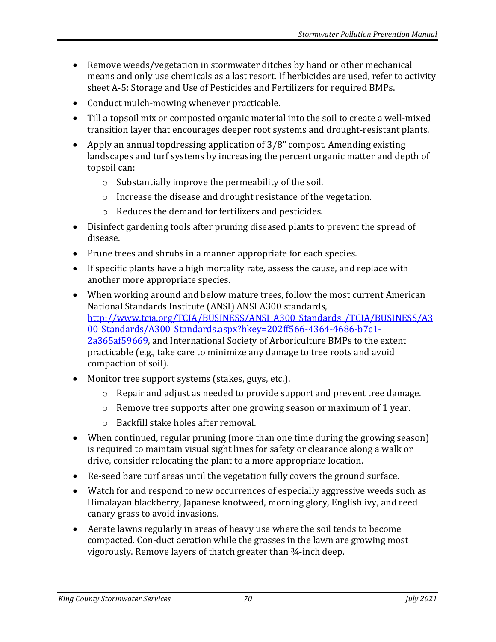- Remove weeds/vegetation in stormwater ditches by hand or other mechanical means and only use chemicals as a last resort. If herbicides are used, refer to activity sheet A-5: Storage and Use of Pesticides and Fertilizers for required BMPs.
- Conduct mulch-mowing whenever practicable.
- Till a topsoil mix or composted organic material into the soil to create a well-mixed transition layer that encourages deeper root systems and drought-resistant plants.
- Apply an annual topdressing application of 3/8" compost. Amending existing landscapes and turf systems by increasing the percent organic matter and depth of topsoil can:
	- o Substantially improve the permeability of the soil.
	- o Increase the disease and drought resistance of the vegetation.
	- o Reduces the demand for fertilizers and pesticides.
- Disinfect gardening tools after pruning diseased plants to prevent the spread of disease.
- Prune trees and shrubs in a manner appropriate for each species.
- If specific plants have a high mortality rate, assess the cause, and replace with another more appropriate species.
- When working around and below mature trees, follow the most current American National Standards Institute (ANSI) ANSI A300 standards, [http://www.tcia.org/TCIA/BUSINESS/ANSI\\_A300\\_Standards\\_/TCIA/BUSINESS/A3](http://www.tcia.org/TCIA/BUSINESS/ANSI_A300_Standards_/TCIA/BUSINESS/A300_Standards/A300_Standards.aspx?hkey=202ff566-4364-4686-b7c1-2a365af59669) [00\\_Standards/A300\\_Standards.aspx?hkey=202ff566-4364-4686-b7c1-](http://www.tcia.org/TCIA/BUSINESS/ANSI_A300_Standards_/TCIA/BUSINESS/A300_Standards/A300_Standards.aspx?hkey=202ff566-4364-4686-b7c1-2a365af59669) [2a365af59669,](http://www.tcia.org/TCIA/BUSINESS/ANSI_A300_Standards_/TCIA/BUSINESS/A300_Standards/A300_Standards.aspx?hkey=202ff566-4364-4686-b7c1-2a365af59669) and International Society of Arboriculture BMPs to the extent practicable (e.g., take care to minimize any damage to tree roots and avoid compaction of soil).
- Monitor tree support systems (stakes, guys, etc.).
	- o Repair and adjust as needed to provide support and prevent tree damage.
	- o Remove tree supports after one growing season or maximum of 1 year.
	- o Backfill stake holes after removal.
- When continued, regular pruning (more than one time during the growing season) is required to maintain visual sight lines for safety or clearance along a walk or drive, consider relocating the plant to a more appropriate location.
- Re-seed bare turf areas until the vegetation fully covers the ground surface.
- Watch for and respond to new occurrences of especially aggressive weeds such as Himalayan blackberry, Japanese knotweed, morning glory, English ivy, and reed canary grass to avoid invasions.
- Aerate lawns regularly in areas of heavy use where the soil tends to become compacted. Con-duct aeration while the grasses in the lawn are growing most vigorously. Remove layers of thatch greater than ¾-inch deep.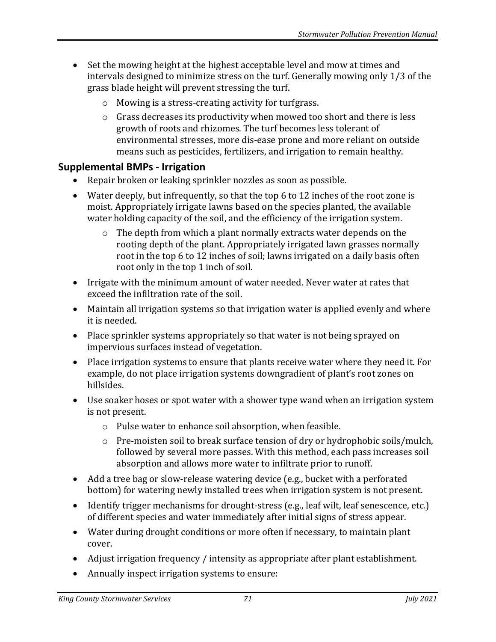- Set the mowing height at the highest acceptable level and mow at times and intervals designed to minimize stress on the turf. Generally mowing only 1/3 of the grass blade height will prevent stressing the turf.
	- o Mowing is a stress-creating activity for turfgrass.
	- o Grass decreases its productivity when mowed too short and there is less growth of roots and rhizomes. The turf becomes less tolerant of environmental stresses, more dis-ease prone and more reliant on outside means such as pesticides, fertilizers, and irrigation to remain healthy.

#### **Supplemental BMPs - Irrigation**

- Repair broken or leaking sprinkler nozzles as soon as possible.
- Water deeply, but infrequently, so that the top 6 to 12 inches of the root zone is moist. Appropriately irrigate lawns based on the species planted, the available water holding capacity of the soil, and the efficiency of the irrigation system.
	- o The depth from which a plant normally extracts water depends on the rooting depth of the plant. Appropriately irrigated lawn grasses normally root in the top 6 to 12 inches of soil; lawns irrigated on a daily basis often root only in the top 1 inch of soil.
- Irrigate with the minimum amount of water needed. Never water at rates that exceed the infiltration rate of the soil.
- Maintain all irrigation systems so that irrigation water is applied evenly and where it is needed.
- Place sprinkler systems appropriately so that water is not being sprayed on impervious surfaces instead of vegetation.
- Place irrigation systems to ensure that plants receive water where they need it. For example, do not place irrigation systems downgradient of plant's root zones on hillsides.
- Use soaker hoses or spot water with a shower type wand when an irrigation system is not present.
	- o Pulse water to enhance soil absorption, when feasible.
	- $\circ$  Pre-moisten soil to break surface tension of dry or hydrophobic soils/mulch, followed by several more passes. With this method, each pass increases soil absorption and allows more water to infiltrate prior to runoff.
- Add a tree bag or slow-release watering device (e.g., bucket with a perforated bottom) for watering newly installed trees when irrigation system is not present.
- Identify trigger mechanisms for drought-stress (e.g., leaf wilt, leaf senescence, etc.) of different species and water immediately after initial signs of stress appear.
- Water during drought conditions or more often if necessary, to maintain plant cover.
- Adjust irrigation frequency / intensity as appropriate after plant establishment.
- Annually inspect irrigation systems to ensure: